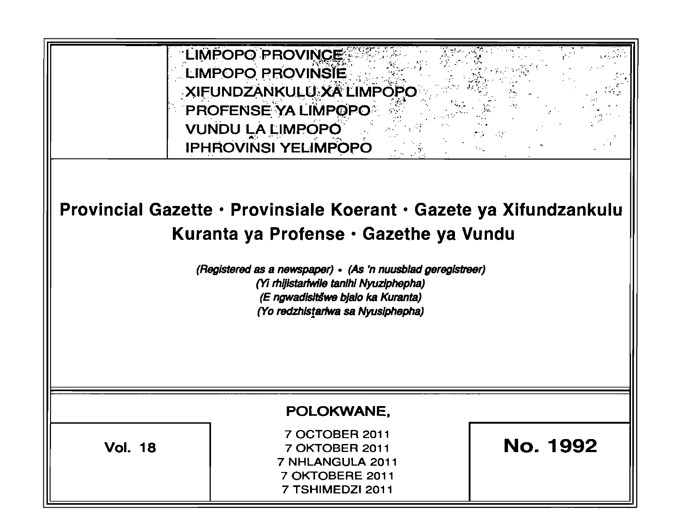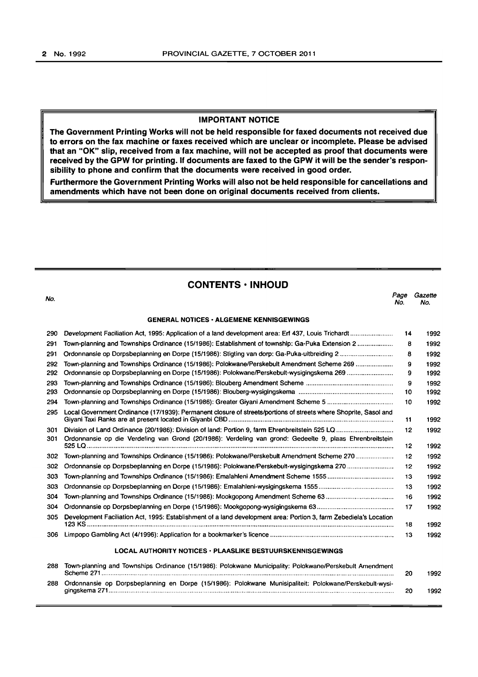# IMPORTANT NOTICE

The Government Printing Works will not be held responsible for faxed documents not received due to errors on the fax machine or faxes received which are unclear or incomplete. Please be advised that an "OK" slip, received from a fax machine, will not be accepted as proof that documents were received by the GPW for printing. If documents are faxed to the GPW it will be the sender's responsibility to phone and confirm that the documents were received in good order.

Furthermore the Government Printing Works will also not be held responsible for cancellations and amendments which have not been done on original documents received from clients.

# CONTENTS • INHOUD

| No. |                                                                                                                   | Page<br>No. | Gazette<br>No. |
|-----|-------------------------------------------------------------------------------------------------------------------|-------------|----------------|
|     | <b>GENERAL NOTICES - ALGEMENE KENNISGEWINGS</b>                                                                   |             |                |
| 290 |                                                                                                                   | 14          | 1992           |
| 291 | Town-planning and Townships Ordinance (15/1986): Establishment of township: Ga-Puka Extension 2                   | 8           | 1992           |
| 291 |                                                                                                                   | 8           | 1992           |
| 292 | Town-planning and Townships Ordinance (15/1986): Polokwane/Perskebult Amendment Scheme 269                        | 9           | 1992           |
| 292 | Ordonnansie op Dorpsbeplanning en Dorpe (15/1986): Polokwane/Perskebult-wysigingskema 269                         | 9           | 1992           |
| 293 |                                                                                                                   | 9           | 1992           |
| 293 |                                                                                                                   | 10          | 1992           |
| 294 |                                                                                                                   | 10          | 1992           |
| 295 | Local Government Ordinance (17/1939): Permanent closure of streets/portions of streets where Shoprite, Sasol and  | 11          | 1992           |
| 301 |                                                                                                                   | 12          | 1992           |
| 301 | Ordonnansie op die Verdeling van Grond (20/1986): Verdeling van grond: Gedeelte 9, plaas Ehrenbreitstein          | 12          | 1992           |
| 302 | Town-planning and Townships Ordinance (15/1986): Polokwane/Perskebult Amendment Scheme 270                        | 12          | 1992           |
| 302 |                                                                                                                   | 12          | 1992           |
| 303 |                                                                                                                   | 13          | 1992           |
| 303 |                                                                                                                   | 13          | 1992           |
| 304 | Town-planning and Townships Ordinance (15/1986): Mookgopong Amendment Scheme 63                                   | 16          | 1992           |
| 304 |                                                                                                                   | 17          | 1992           |
| 305 | Development Faciliation Act, 1995: Establishment of a land development area: Portion 3, farm Zebediela's Location | 18          | 1992           |
| 306 |                                                                                                                   | 13          | 1992           |
|     | <b>LOCAL AUTHORITY NOTICES · PLAASLIKE BESTUURSKENNISGEWINGS</b>                                                  |             |                |
| 288 | Town-planning and Townships Ordinance (15/1986): Polokwane Municipality: Polokwane/Perskebult Amendment           | 20          | 1992           |
| 288 | Ordonnansie op Dorpsbeplanning en Dorpe (15/1986): Polokwane Munisipaliteit: Polokwane/Perskebult-wysi-           | 20          | 1992           |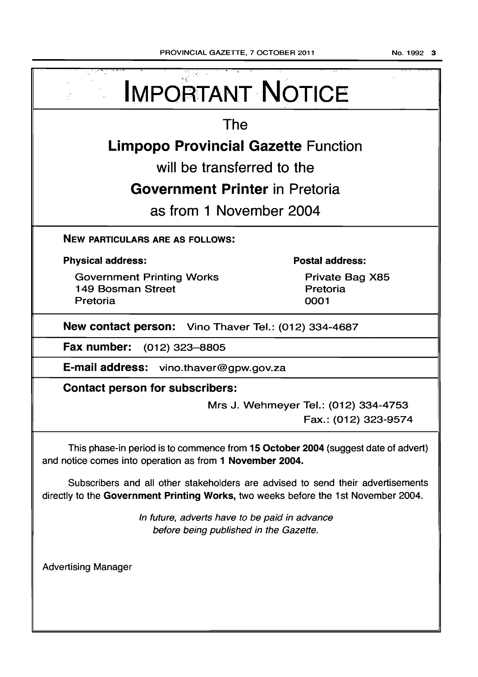| <b>IMPORTANT NOTICE</b>                                                                                                                                               |                                                              |  |  |  |
|-----------------------------------------------------------------------------------------------------------------------------------------------------------------------|--------------------------------------------------------------|--|--|--|
| The                                                                                                                                                                   |                                                              |  |  |  |
| <b>Limpopo Provincial Gazette Function</b>                                                                                                                            |                                                              |  |  |  |
| will be transferred to the                                                                                                                                            |                                                              |  |  |  |
| <b>Government Printer in Pretoria</b>                                                                                                                                 |                                                              |  |  |  |
| as from 1 November 2004                                                                                                                                               |                                                              |  |  |  |
| <b>NEW PARTICULARS ARE AS FOLLOWS:</b>                                                                                                                                |                                                              |  |  |  |
| <b>Physical address:</b>                                                                                                                                              | <b>Postal address:</b>                                       |  |  |  |
| <b>Government Printing Works</b><br><b>149 Bosman Street</b><br>Pretoria                                                                                              | Private Bag X85<br>Pretoria<br>0001                          |  |  |  |
| New contact person: Vino Thaver Tel.: (012) 334-4687                                                                                                                  |                                                              |  |  |  |
| Fax number: (012) 323-8805                                                                                                                                            |                                                              |  |  |  |
| E-mail address: vino.thaver@gpw.gov.za                                                                                                                                |                                                              |  |  |  |
| <b>Contact person for subscribers:</b>                                                                                                                                |                                                              |  |  |  |
|                                                                                                                                                                       | Mrs J. Wehmeyer Tel.: (012) 334-4753<br>Fax.: (012) 323-9574 |  |  |  |
| This phase-in period is to commence from 15 October 2004 (suggest date of advert)<br>and notice comes into operation as from 1 November 2004.                         |                                                              |  |  |  |
| Subscribers and all other stakeholders are advised to send their advertisements<br>directly to the Government Printing Works, two weeks before the 1st November 2004. |                                                              |  |  |  |
| In future, adverts have to be paid in advance<br>before being published in the Gazette.                                                                               |                                                              |  |  |  |
| <b>Advertising Manager</b>                                                                                                                                            |                                                              |  |  |  |
|                                                                                                                                                                       |                                                              |  |  |  |
|                                                                                                                                                                       |                                                              |  |  |  |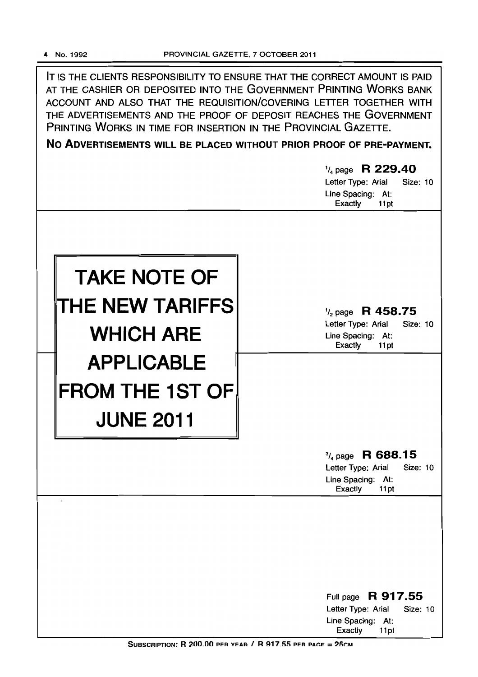IT IS THE CLIENTS RESPONSIBILITY TO ENSURE THAT THE CORRECT AMOUNT IS PAID AT THE CASHIER OR DEPOSITED INTO THE GOVERNMENT PRINTING WORKS BANK ACCOUNT AND ALSO THAT THE REQUISITION/COVERING LETTER TOGETHER WITH THE ADVERTISEMENTS AND THE PROOF OF DEPOSIT REACHES THE GOVERNMENT PRINTING WORKS IN TIME FOR INSERTION IN THE PROVINCIAL GAZETTE.

**No ADVERTISEMENTS WILL BE PLACED WITHOUT PRIOR PROOF OF PRE-PAYMENT.** 

|                        | $\frac{1}{4}$ page R 229.40<br>Letter Type: Arial<br>Size: 10<br>Line Spacing: At:<br>Exactly<br>11pt |
|------------------------|-------------------------------------------------------------------------------------------------------|
|                        |                                                                                                       |
| <b>TAKE NOTE OF</b>    |                                                                                                       |
| THE NEW TARIFFS        | $\frac{1}{2}$ page R 458.75<br>Letter Type: Arial<br>Size: 10                                         |
| <b>WHICH ARE</b>       | Line Spacing: At:<br>Exactly<br>11pt                                                                  |
| <b>APPLICABLE</b>      |                                                                                                       |
| <b>FROM THE 1ST OF</b> |                                                                                                       |
| <b>JUNE 2011</b>       |                                                                                                       |
|                        | $\frac{3}{4}$ page R 688.15<br>Letter Type: Arial<br>Size: 10<br>Line Spacing: At:<br>Exactly<br>11pt |
|                        |                                                                                                       |
|                        |                                                                                                       |
|                        |                                                                                                       |
|                        | Full page R 917.55<br>Letter Type: Arial<br><b>Size: 10</b>                                           |
|                        | Line Spacing: At:<br><b>Exactly</b><br>11pt                                                           |

SUBSCRIPTION:  $R$  200.00 PER YEAR /  $R$  917.55 PER PAGE = 25CM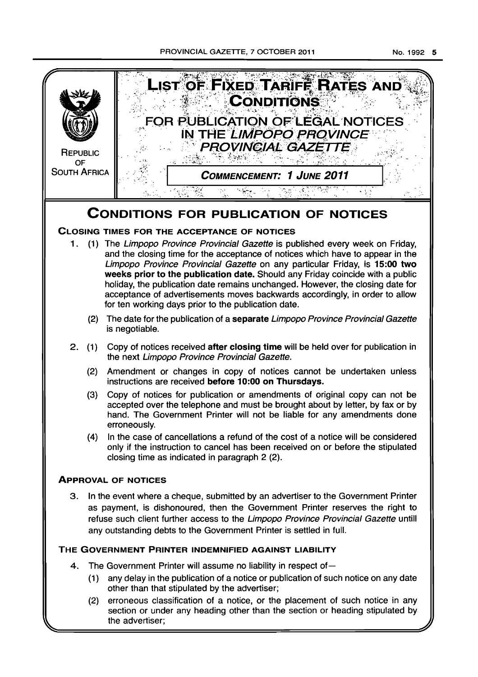PROVINCIAL GAZETTE, 7 OCTOBER 2011 No. 1992 5

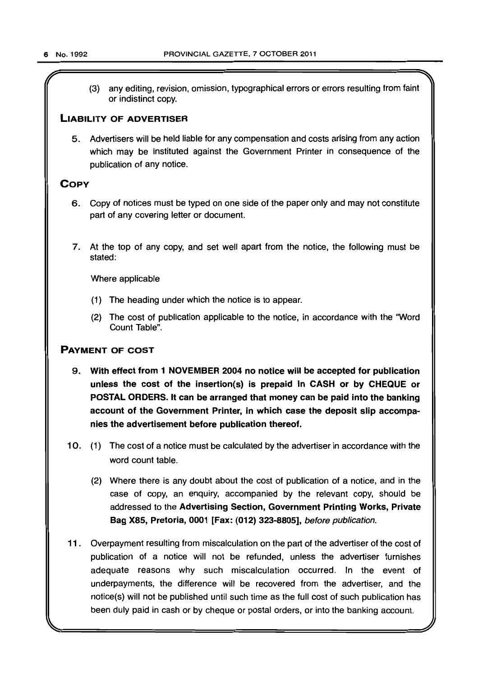(3) any editing, revision, omission, typographical errors or errors resulting from faint or indistinct copy.

# LIABILITY OF ADVERTISER

5. Advertisers will be held liable for any compensation and costs arising from any action which may be instituted against the Government Printer in consequence of the publication of any notice.

# **COPY**

- 6. Copy of notices must be typed on one side of the paper only and may not constitute part of any covering letter or document.
- 7. At the top of any copy, and set well apart from the notice, the following must be stated:

Where applicable

- (1) The heading under which the notice is to appear.
- (2) The cost of publication applicable to the notice, in accordance with the "Word Count Table".

# PAYMENT OF COST

- 9. With effect from 1 NOVEMBER 2004 no notice will be accepted for publication unless the cost of the insertion(s) is prepaid in CASH or by CHEQUE or POSTAL ORDERS. It can be arranged that money can be paid into the banking account of the Government Printer, in which case the deposit slip accompanies the advertisement before publication thereof.
- 10. (1) The cost of a notice must be calculated by the advertiser in accordance with the word count table.
	- (2) Where there is any doubt about the cost of publication of a notice, and in the case of copy, an enquiry, accompanied by the relevant copy, should be addressed to the Advertising Section, Government Printing Works, Private Bag X85, Pretoria, 0001 [Fax: (012) 323-8805], before publication.
- 11 . Overpayment resulting from miscalculation on the part of the advertiser of the cost of publication of a notice will not be refunded, unless the advertiser furnishes adequate reasons why such miscalculation occurred. In the event of underpayments, the difference will be recovered from the advertiser, and the notice(s) will not be published until such time as the full cost of such publication has been duly paid in cash or by cheque or postal orders, or into the banking account.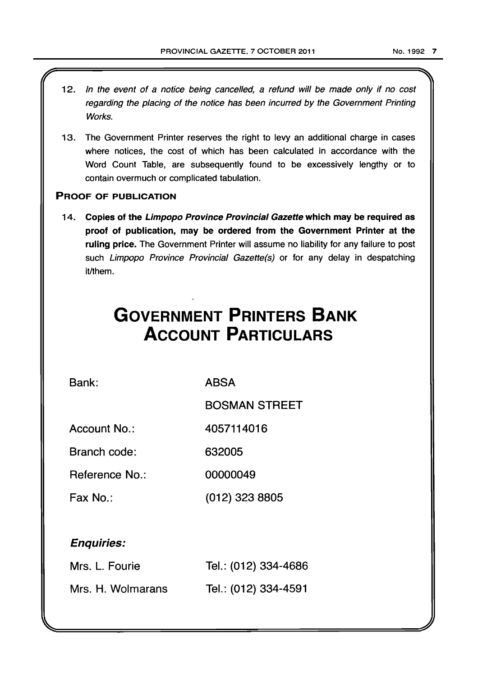- 12. In the event of a notice being cancelled, a refund will be made only if no cost regarding the placing of the notice has been incurred by the Government Printing Works.
- 13. The Government Printer reserves the right to levy an additional charge in cases where notices, the cost of which has been calculated in accordance with the Word Count Table, are subsequently found to be excessively lengthy or to contain overmuch or complicated tabulation.

# PROOF OF PUBLICATION

14. Copies of the Limpopo Province Provincial Gazette which may be required as proof of publication, may be ordered from the Government Printer at the ruling price. The Government Printer will assume no liability for any failure to post such Limpopo Province Provincial Gazette(s) or for any delay in despatching it/them.

# **GOVERNMENT PRINTERS BANK ACCOUNT PARTICULARS**

Bank:

ABSA

BOSMAN STREET

Account No.: 4057114016

Branch code: 632005

Reference No.: 00000049

Fax No.: (012) 323 8805

# Enquiries:

| Mrs. L. Fourie    | Tel.: (012) 334-4686 |
|-------------------|----------------------|
| Mrs. H. Wolmarans | Tel.: (012) 334-4591 |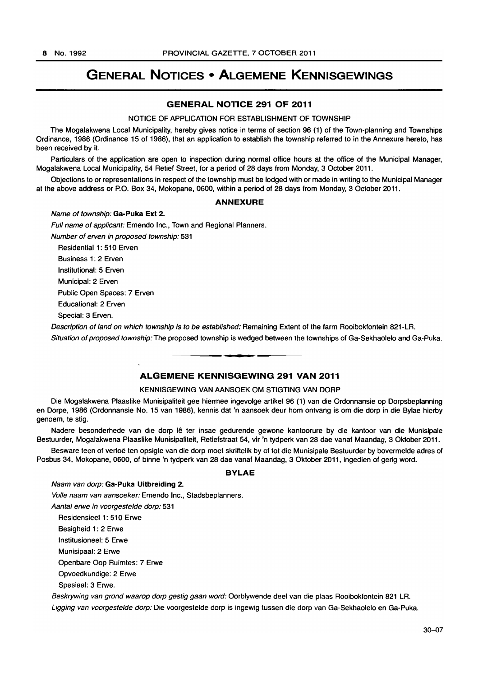# **GENERAL NOTICES • ALGEMENE KENNISGEWINGS**

# **GENERAL NOTICE 291 OF 2011**

## NOTICE OF APPLICATION FOR ESTABLISHMENT OF TOWNSHIP

The Mogalakwena Local Municipality, hereby gives notice in terms of section 96 (1) of the Town-planning and Townships Ordinance, 1986 (Ordinance 15 of 1986), that an application to establish the township referred to in the Annexure hereto, has been received by it.

Particulars of the application are open to inspection during normal office hours at the office of the Municipal Manager. Mogalakwena Local Municipality, 54 Retief Street, for a period of 28 days from Monday, 3 October 2011.

Objections to or representations in respect of the township must be lodged with or made in writing to the Municipal Manager at the above address or P.O. Box 34, Mokopane, 0600, within a period of 28 days from Monday, 3 October 2011.

# **ANNEXURE**

#### Name of township: **Ga-Puka Ext** 2.

Full name of applicant: Emendo Inc., Town and Regional Planners. Number of erven in proposed township: 531 Residential 1: 510 Erven Business 1: 2 Erven

Institutional: 5 Erven

Municipal: 2 Erven

Public Open Spaces: 7 Erven

Educational: 2 Erven

Special: 3 Erven.

Description of land on which township is to be established: Remaining Extent of the farm Rooibokfontein 821-LR. Situation of proposed township: The proposed township is wedged between the townships of Ga-Sekhaolelo and Ga-Puka.

# **ALGEMENE KENNISGEWING 291 VAN 2011**

**. -**

# KENNISGEWING VAN AANSOEK OM STIGTING VAN DORP

Die Mogalakwena Plaaslike Munisipaliteit gee hiermee ingevolge artikel 96 (1) van die Ordonnansie op Dorpsbeplanning en Dorpe, 1986 (Ordonnansie No. 15 van 1986), kennis dat 'n aansoek deur hom ontvang is om die dorp in die Bylae hierby genoem, te stig.

Nadere besonderhede van die dorp Iê ter insae gedurende gewone kantoorure by die kantoor van die Munisipale Bestuurder, Mogalakwena Plaaslike Munisipaliteit, Retiefstraat 54, vir 'n tydperk van 28 dae vanaf Maandag, 3 Oktober 2011.

Besware teen of vertoe ten opsigte van die dorp moet skriftelik by of tot die Munisipale Bestuurder by bovermelde adres of Posbus 34, Mokopane, 0600, of binne 'n tydperk van 28 dae vanaf Maandag, 3 Oktober 2011, ingedien of gerig word.

# **BYLAE**

Naam van dorp: **Ga-Puka Uitbreidlng** 2.

Volle naam van aansoeker: Emendo Inc., Stadsbeplanners.

Aantal erwe in voorgestelde dorp: 531

Residensieel 1: 510 Erwe

Besigheid 1: 2 Erwe Institusioneel: 5 Erwe

Munisipaal: 2 Erwe

Openbare Oop Ruimtes: 7 Erwe

Opvoedkundige: 2 Erwe

Spesiaal: 3 Erwe.

Beskrywing van grond waarop dorp gestig gaan word: Oorblywende deel van die plaas Rooibokfontein 821 LR.

Ligging van voorgestelde dorp: Die voorgestelde dorp is ingewig tussen die dorp van Ga-Sekhaolelo en Ga-Puka.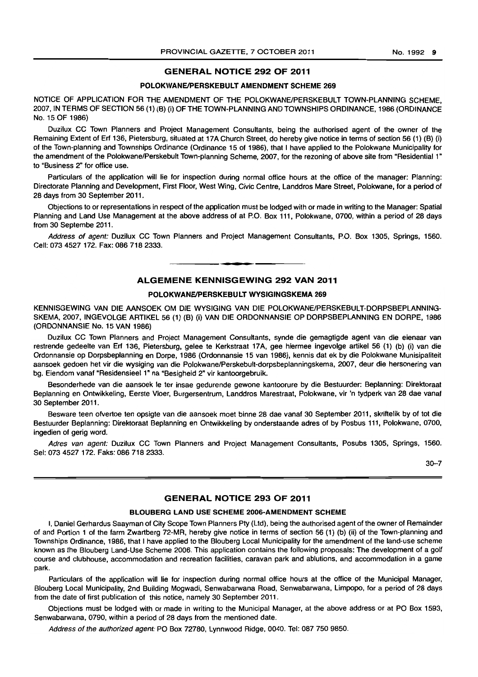# GENERAL NOTICE 292 OF 2011

# POLOKWANE/PERSKEBULT AMENDMENT SCHEME 269

NOTICE OF APPLICATION FOR THE AMENDMENT OF THE POLOKWANEIPERSKEBULT TOWN-PLANNING SCHEME, 2007, IN TERMS OF SECTION 56 (1) (B) (i) OF THE TOWN-PLANNING AND TOWNSHIPS ORDINANCE, 1986 (ORDINANCE No. 15 OF 1986)

Duzilux CC Town Planners and Project Management Consultants, being the authorised agent of the owner of the Remaining Extent of Erf 136, Pietersburg, situated at 17A Church Street, do hereby give notice in terms of section 56 (1) (B) (i) of the Town-planning and Townships Ordinance (Ordinance 15 of 1986), that I have applied to the Polokwane Municipality for the amendment of the Polokwane/Perskebult Town-planning Scheme, 2007, for the rezoning of above site from "Residential 1" to "Business 2" for office use.

Particulars of the application will lie for inspection during normal office hours at the office of the manager: Planning: Directorate Planning and Development, First Floor, West Wing, Civic Centre, Landdros Mare Street, Polokwane, for a period of 28 days from 30 September 2011.

Objections to or representations in respect of the application must be lodged with or made in writing to the Manager: Spatial Planning and Land Use Management at the above address of at P.O. Box 111, Polokwane, 0700, within a period of 28 days from 30 Septembe 2011.

Address of agent: Duzilux CC Town Planners and Project Management Consultants, P.O. Box 1305, Springs, 1560. Cell: 073 4527 172. Fax: 086 718 2333. . **- .** 

# ALGEMENE KENNISGEWING 292 VAN 2011

# POLOKWANE/PERSKEBULT WYSIGINGSKEMA 269

KENNISGEWING VAN DIE AANSOEK OM DIE WYSIGING VAN DIE POLOKWANE/PERSKEBULT-DORPSBEPLANNING-SKEMA, 2007, INGEVOLGE ARTIKEL 56 (1) (B) (i) VAN DIE ORDONNANSIE OP DORPSBEPLANNING EN DORPE, 1986 (ORDONNANSIE No. 15 VAN 1986)

Duzilux CC Town Planners and Project Management Consultants, synde die gemagtigde agent van die eienaar van restrende gedeelte van Erf 136, Pietersburg, gelee te Kerkstraat 17A, gee hiermee ingevolge artikel 56 (1) (b) (i) van die Ordonnansie op Dorpsbeplanning en Dorpe, 1986 (Ordonnansie 15 van 1986), kennis dat ek by die Polokwane Munisipaliteit aansoek gedoen het vir die wysiging van die Polokwane/Perskebult-dorpsbeplanningskema, 2007, deur die hersonering van bg. Eiendom vanaf "Residensieel 1" na "Besigheid 2" vir kantoorgebruik.

Besonderhede van die aansoek Ie ter insae gedurende gewone kantoorure by die Bestuurder: Beplanning: Direktoraat Beplanning en Ontwikkeling, Eerste Vloer, Burgersentrum, Landdros Marestraat, Polokwane, vir 'n tydperk van 28 dae vanaf 30 September 2011.

Besware teen ofvertoe ten opsigte van die aansoek moet binne 28 dae vanaf 30 September 2011, skriftelik by of tot die Besluurder 8eplanning: Direktoraat Beplanning en Ontwikkeling by onderstaande adres of by Posbus 111, Polokwane, 0700, ingedien of gerig word.

Adres van agent: Duzilux CC Town Planners and Project Management Consultants, Posubs 1305, Springs, 1560. Sel: 073 4527172. Faks: 086 718 2333.

30-7

# GENERAL NOTICE 293 OF 2011

#### BLOUBERG LAND USE SCHEME 2006-AMENDMENT SCHEME

I, Daniel Gerhardus Saayman of City Scope Town Planners pty (Ltd), being the authorised agent of the owner of Remainder of and Portion 1 of the farm Zwartberg 72-MR. hereby give notice in terms of section 56 (1) (b) (ii) of the Town-planning and Townships Ordinance, 1986, that I have applied to the Blouberg Local Municipality for the amendment of the land-use scheme known as the Blouberg Land-Use Scheme 2006. This application contains the following proposals: The development of a golf course and clubhouse, accommodation and recreation facilities, caravan park and ablutions, and accommodation in a game park.

Particulars of the application will lie for inspection during normal office hours at the office of the Municipal Manager, Blouberg Local Municipality, 2nd Building Mogwadi, Senwabarwana Road, Senwabarwana, Limpopo, for a period of 28 days from the date of first publication of this notice, namely 30 September 2011.

Objections must be lodged with or made in writing to the Municipal Manager, at the above address or at PO Box 1593, Senwabarwana, 0790, within a period of 28 days from the mentioned date.

Address of the authorized agent: PO Box 72780, Lynnwood Ridge, 0040. Tel: 087 750 9850.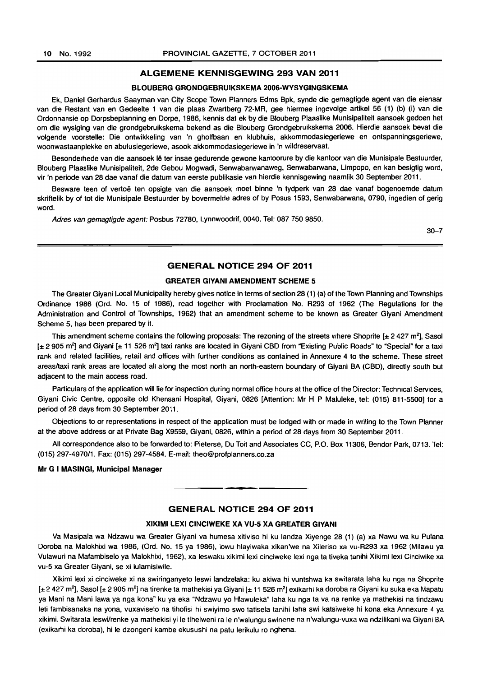# ALGEMENE KENNISGEWING 293 VAN 2011

### BLOUBERG GRONDGEBRUIKSKEMA 2006-WVSVGINGSKEMA

Ek, Daniel Gerhardus Saayman van City Scope Town Planners Edms Bpk, synde die gemagtigde agent van die eienaar van die Restant van en Gedeelte 1 van die plaas Zwartberg 72-MR, gee hiermee ingevolge artikel 56 (1) (b) (i) van die Ordonnansie op Dorpsbeplanning en Dorpe, 1986, kennis dat ek by die Blouberg Plaaslike Munisipaliteit aansoek gedoen het om die wysiging van die grondgebruikskema bekend as die Blouberg Grondgebruikskema 2006. Hierdie aansoek bevat die volgende voorstelle: Die ontwikkeling van 'n gholfbaan en klubhuis, akkommodasiegeriewe en ontspanningsgeriewe, woonwastaanplekke en abulusiegeriewe, asook akkommodasiegeriewe in 'n wildreservaat.

Besonderhede van die aansoek lê ter insae gedurende gewone kantoorure by die kantoor van die Munisipale Bestuurder, Blouberg Plaaslike Munisipaliteit. 2de Gebou Mogwadi, Senwabarwanaweg, Senwabarwana, Limpopo, en kan besigtig word, vir 'n periode van 28 dae vanaf die datum van eerste publikasie van hierdie kennisgewing naamlik 30 September 2011.

Besware teen of vertoë ten opsigte van die aansoek moet binne 'n tydperk van 28 dae vanaf bogenoemde datum skriftelik by of tot die Munisipale Bestuurder by bovermelde adres of by Posus 1593, Senwabarwana, 0790, ingedien of gerig word.

Adres van gemagtigde agent: Posbus 72780, Lynnwoodrif. 0040. Tel: 087 750 9850.

30-7

# GENERAL NOTICE 294 OF 2011

### GREATER GIVANI AMENDMENT SCHEME 5

The Greater Giyani Local Municipality hereby gives notice in terms of section 28 (1) (a) of the Town Planning and Townships Ordinance 1986 (Ord. No. 15 of 1986), read together with Proclamation No. R293 of 1962 (The Regulations for the Administration and Control of Townships, 1962) that an amendment scheme to be known as Greater Giyani Amendment Scheme 5, has been prepared by it.

This amendment scheme contains the following proposals: The rezoning of the streets where Shoprite  $[\pm 2.427 \text{ m}^2]$ , Sasol [± 2 905 m<sup>2</sup>] and Giyani [± 11 526 m<sup>2</sup>] taxi ranks are located in Giyani CBD from "Existing Public Roads" to "Special" for a taxi rank and related facilities, retail and offices with further conditions as contained in Annexure 4 to the scheme. These street areas/taxi rank areas are located all along the most north an north-eastern boundary of Giyani BA (CBD). directly south but adjacent to the main access road.

Particulars of the application will lie for inspection during normal office hours at the office of the Director: Technical Services, Giyani Civic Centre, opposite old Khensani Hospital, Giyani, 0826 [Attention: Mr H P Maluleke, tel: (015) 811-5500] for a period of 28 days from 30 September 2011.

Objections to or representations in respect of the application must be lodged with or made in writing to the Town Planner at the above address or at Private Bag X9559, Giyani, 0826, within a period of 28 days from 30 September 2011.

All correspondence also to be forwarded to: Pieterse. Du Toit and Associates CC, P.O. Box 11306. Bendor Park, 0713. Tel: (015) 297-497011. Fax: (015) 297-4584. E-mail: theo@profplanners.co.za

## Mr G I MASINGI, Municipal Manager

#### GENERAL NOTICE 294 OF 2011

. **- .** 

# XIKIMI LEXI CINCIWEKE XA VU-5 XA GREATER GIVANI

Va Masipala wa Ndzawu wa Greater Giyani va humesa xitiviso hi ku landza Xiyenge 28 (1) (a) xa Nawu wa ku Pulana Doroba na Malokhixi wa 1986, (Ord. No. 15 ya 1986), lowu hlayiwaka xikan'we na Xileriso xa vu-R293 xa 1962 (Milawu ya Vulawuri na Mafamhiselo ya Malokhixi, 1962), xa leswaku xikimi lexi cinciweke lexi nga ta tiveka tanihi Xikimi lexi Cinciwike xa vu-5 xa Greater Giyani, se xi lulamisiwile.

Xikimi lexi xi cinciweke xi na swiringanyeto leswi landzelaka: ku akiwa hi vuntshwa ka switarata laha ku nga na Shoprite [± 2 427 m²], Sasol [± 2 905 m²] na tirenke ta mathekisi ya Giyani [± 11 526 m²] exikarhi ka doroba ra Giyani ku suka eka Mapatu ya Mani na Mani lawa ya nga kona" ku ya eka "Ndzawu yo Hlawuleka" laha ku nga ta va na renke ya mathekisi na tindzawu leti fambisanaka na yona, vuxaviselo na tihofisi hi swiyimo swo latisela tanihi laha swi katsiweke hi kona eka Annexure 4 ya xikimi. Switarata leswi/renke ya mathekisi yi Ie tlhelweni ra Ie n'walungu swinene na n'walungu-vuxa wa ndzilikani wa Giyani BA (exikarhi ka doroba), hi Ie dzongeni kambe ekusushi na patu lerikulu ro nghena.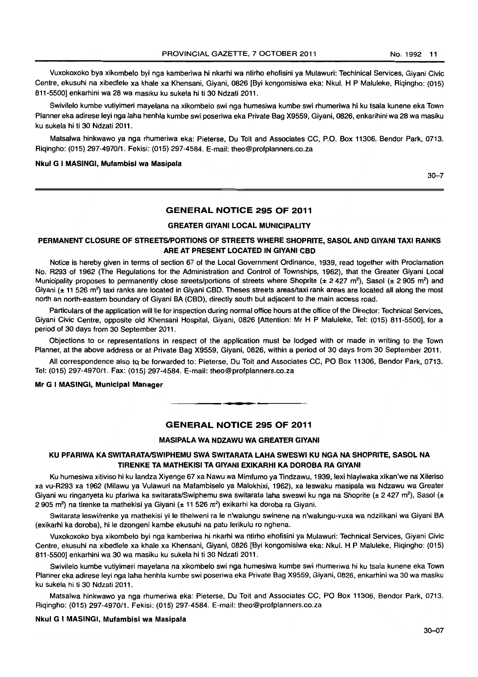Vuxokoxoko bya xikombelo byi nga kamberiwa hi nkarhi wa ntirho ehofisini ya Mutawuri: Techinical Services, Giyani Civic Centre, ekusuhi na xibedlele xa khale xa Khensani, Giyani, 0826 [Byi kongomisiwa eka: Nkul. H P Maluteke, Riqingho: (015) 811-5500] enkarhini wa 28 wa masiku ku sukela hi ti 30 Ndzati 2011.

Swivilelo kumbe vutiyimeri mayelana na xikombelo swi nga humesiwa kumbe swi rhumeriwa hi ku tsala kunene eka Town Planner eka adirese leyi nga laha henhla kumbe swi poseriwa eka Private Bag X9559, Giyani, 0826, enkarihini wa 28 wa masiku ku sukela hi ti 30 Ndzati 2011.

Matsalwa hinkwawo ya nga rhumeriwa eka: Pieterse, Du Toit and Associates CC, P.O. Box 11306, Bendor Park, 0713. Riqingho: e015} 297-4970/1. Fekisi: (015) 297-4584. E-mail: theo@profplanners.co.za

#### Nkul G I MASINGI, Mufambisl wa Masipala

30-7

# GENERAL NOTICE 295 OF 2011

# GREATER GIYANI LOCAL MUNICIPALITY

# PERMANENT CLOSURE OF STREETS/PORTIONS OF STREETS WHERE SHOPRITE, SASOL AND GIYANI TAXI RANKS ARE AT PRESENT LOCATED IN GIYANI CBD

Notice is hereby given in terms of section 67 of the Local Government Ordinance, 1939, read together with Proclamation No. R293 of 1962 (The Regulations for the Administration and Control of Townships, 1962), that the Greater Giyani Local Municipality proposes to permanently close streets/portions of streets where Shoprite ( $\pm$  2 427 m<sup>2</sup>), Sasol ( $\pm$  2 905 m<sup>2</sup>) and Giyani  $(± 11526 m<sup>2</sup>)$  taxi ranks are located in Giyani CBD. Theses streets areas/taxi rank areas are located all along the most north an north-eastern boundary of Giyani BA (CBD), directly south but adjacent to the main access road.

Particulars of the application will lie for inspection during normal office hours at the office of the Director: Technical Services, Giyani Civic Centre, opposite old Khensani Hospital, Giyani, 0826 [Attention: Mr H P Maluleke, Tel: (015) 811-5500], for a period of 30 days from 30 September 2011.

Objections to or representations in respect of the application must be lodged with or made in writing to the Town Planner, at the above address or at Private Bag X9559, Giyani, 0826, within a period of 30 days from 30 September 2011.

All correspondence also to be forwarded to: Pieterse, Du Toit and Associates CC, PO Box 11306, Bendor Park, 0713. Tel: (015) 297-4970/1. Fax: (015) 297-4584. E-mail: theo@profplanners.co.za

# Mr G I MASINGI, Municipal Manager

# GENERAL NOTICE 295 OF 2011

**-**

### MASIPALA WA NDZAWU WA GREATER GIVANI

# KU PFARIWA KA SWITARATAISWIPHEMU SWA SWITARATA LAHA SWESWI KU NGA NA SHOPRITE, SASOL NA TIRENKE TA MATHEKISI TA GIVANI EXIKARHI KA DOROSA RA GIVANI

Ku humesiwa xitiviso hi ku landza Xiyenge 67 xa Nawu wa Mimfumo ya Tindzawu, 1939, lexi hlayiwaka xikan'we na Xileriso xa vu-R293 xa 1962 (Milawu ya Vulawuri na Mafambiselo ya Malokhixi, 1962), xa leswaku masipala wa Ndzawu wa Greater Giyani wu ringanyeta ku pfariwa ka switarata/Swiphemu swa switarata laha sweswi ku nga na Shoprite (± 2 427 m<sup>2</sup>), Sasol (± 2 905 m<sup>2</sup>) na tirenke ta mathekisi ya Giyani (± 11 526 m<sup>2</sup>) exikarhi ka doroba ra Giyani.

Switarata leswi/renke ya rnathekisi yi Ie tlhelweni ra Ie n'walungu swinene na n'walungu-vuxa wa ndzilikani wa Giyani BA (exikarhi ka doroba), hi Ie dzongeni kambe ekusuhi na patu lerikulu ro nghena.

Vuxokoxoko bya xikombelo byi nga kamberiwa hi nkarhi wa ntirho ehofisini ya Mulawuri: Technical Services, Giyani Civic Centre, ekusuhi na xibedlele xa khale xa Khensani, Giyani, 0826 [Byi kongomisiwa eka: Nkul. H P Maluleke. Riqingho: (015) 811-5500] enkarhini wa 30 wa masiku ku sukela hi ti 30 Ndzati 2011.

Swivilelo kumbe vutiyimeri mayelana na xikombelo swi nga humesiwa kumbe swi rhumeriwa hi ku tsala kunene eka Town Planner eka adirese leyi nga laha henhla kumbe swi poseriwa eka Private Bag X9559, Giyani, 0826, enkarhini wa 30 wa masiku ku sukela hi ti 30 Ndzati 2011.

Matsalwa hinkwawo ya nga rhumeriwa eka: Pieterse, Du Toit and Associates CC, PO Box 11306, Bendor Park, 0713. Riqingho: (015) 297-4970/1. Fekisi: (015) 297-4584. E-mail: theo@profplanners.co.za

#### Nkul G I MASINGI, Mufambisi wa Masipala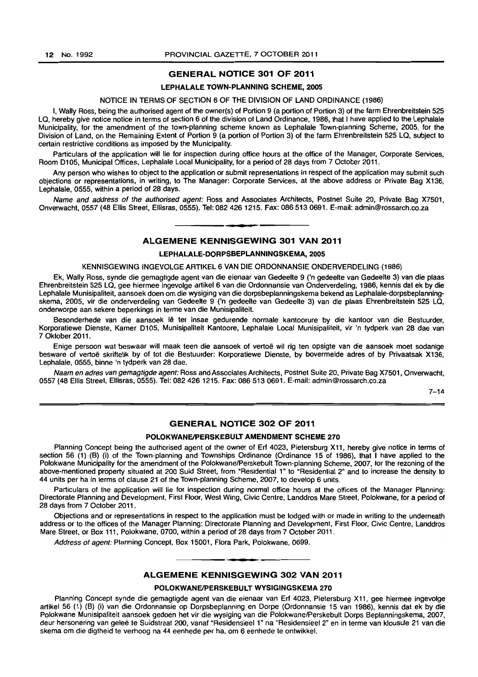# GENERAL NOTICE 301 OF 2011

### LEPHALALE TOWN-PLANNING SCHEME, 2005

#### NOTICE IN TERMS OF SECTION 6 OF THE DIVISION OF LAND ORDINANCE (1986)

I, Wally Ross, being the authorised agent of the owner(s) of Portion 9 (a portion of Portion 3) of the farm Ehrenbreitstein 525 LQ, hereby give notice notice in terms of section 6 of the division of Land Ordinance, 1986, that I have applied to the Lephalale Municipality, for the amendment of the town-planning scheme known as Lephalale Town-planning Scheme, 2005, for the Division of Land, on the Remaining Extent of Portion 9 (a portion of Portion 3) of the farm Ehrenbreitstein 525 LQ, subject to certain restrictive conditions as imposed by the Municipality.

Particulars of the application will lie for inspection during office hours at the office of the Manager, Corporate Services, Room D105, Municipal Offices, Lephalale Local Municipality, for a period of 28 days from 7 October 2011 .

Any person who wishes to object to the application or submit representations in respect of the application may submit such objections or representations. in writing, to The Manager: Corporate Services, at the above address or Private Bag X136, lephalale, 0555, within a period of 28 days.

Name and address of the authorised agent: Ross and Associates Architects, Postnet Suite 20, Private Bag X7501, Onverwacht, 0557 (48 Ellis Street, Ellisras, 0555). Tel: 082 4261215. Fax: 086 513 0691. E-mail: admin@rossarch.co.za

# I **• I**  ALGEMENE KENNISGEWING 301 VAN 2011

### LEPHALALE-DORPSBEPLANNINGSKEMA, 2005

#### KENNISGEWING INGEVOLGE ARTIKEL 6 VAN DIE ORDONNANSIE ONDERVERDELING (1986)

Ek, Wally Ross, synde die gemagtigde agent van die eienaar van Gedeelte 9 ('n gedeelte van Gedeelte 3) van die plaas Ehrenbreitstein 525 lQ, gee hiermee ingevolge artikel 6 van die Ordonnansie van Onderverdeling, 1986, kennis dat ek by die Lephalale Munisipaliteit, aansoek doen om die wysiging van die dorpsbeplanningskema bekend as Lephalale-dorpsbeplanningskema, 2005, vir die onderverdeling van Gedeelte 9 ('n gedeelte van Gedeelte 3) van die plaas Ehrenbreitstein 525 LQ, onderworpe aan sekere beperkings in terme van die Munisipaliteit.

Besonderhede van die aansoek Ie ter insae gedurende normale kantoorure by die kantoor van die Bestuurder, Korporatiewe Dienste, Kamer Dl05, Munisipaliteit Kantoore, Lephalale Local Munisipaliteit, vir 'n tydperk van 28 dae van 7 Oktober 2011.

Enige persoon wat beswaar will maak teen die aansoek of vertoe wil rig ten opsigte van die aansoek moet sodanige besware of vertoë skriftelik by of tot die Bestuurder: Korporatiewe Dienste, by bovermelde adres of by Privaatsak X136, Lephalale, 0555, binne 'n tydperk van 28 dae.

Naam en adres van gemagtigde agent: Ross and Associates Architects, Postnet Suite 20, Private Bag X7501, Onverwacht, 0557 (48 Ellis Street, Ellisras, 0555). Tel: 082 4261215. Fax: 086 513 0691. E-mail: admin@rossarch.co.za

 $7 - 14$ 

# **GENERAL NOTICE 302 OF 2011**

# POLOKWANE/PERSKEBULT AMENDMENT SCHEME 270

Planning Concept being the authorised agent of the owner of Erf 4023, Pietersburg X11, hereby give notice in terms of section 56 (1) (B) (i) of the Town-planning and Townships Ordinance (Ordinance 15 of 1986), that I have applied to the Polokwane Municipality for the amendment of the Polokwane/Perskebult Town-planning Scheme, 2007, for the rezoning of the above-mentioned property situated at 200 Suid Street, from "Residential 1" to "Residential 2" and to increase the density to 44 units per ha in terms of clause 21 of the Town-planning Scheme, 2007, to develop 6 units.

Particulars of the application will lie for inspection during normal office hours at the offices of the Manager Planning: Directorate Planning and Development, First Floor, West Wing, Civic Centre, Landdros Mare Street, Polokwane, for a period of 28 days from 7 October 2011.

Objections and or representations in respect to the application must be lodged with or made in writing to the underneath address or to the offices of the Manager Planning: Directorate Planning and Development. First Floor, Civic Centre, Landdros Mare Street, or Box 111, Polokwane, 0700, within a period of 28 days from 7 October 2011.

Address of agent: Planning Concept, Box 15001, Flora Park, Polokwane, 0699.

### ALGEMENE KENNISGEWING 302 VAN 2011

I **\_ I** 

# POLOKWANE/PERSKEBULT WYSIGINGSKEMA 270

Planning Concept synde die gemagtigde agent van die eienaar van Erf 4023, Pietersburg X11, gee hiermee ingevolge artikel 56 (1) (8) (i) van die Ordonnansie op Dorpsbeplanning en Dorpe (Ordonnansie 15 van 1986), kennis dat ek by die Polokwane Munisipaliteit aansoek gedoen het vir die wysiging van die Polokwane/Perskebult Dorps Beplanningskema, 2007. deur hersonering van geleë te Suidstraat 200, vanaf "Residensieel 1" na "Residensieel 2" en in terme van klousule 21 van die skema om die digtheid te verhoog na 44 eenhede per ha, om 6 eenhede te ontwikkel.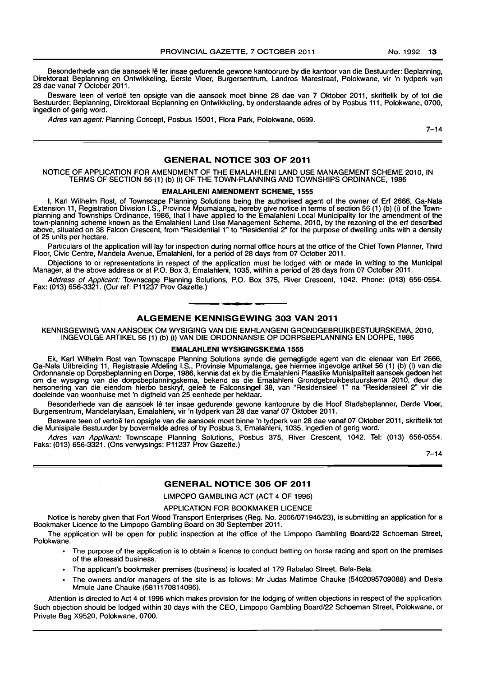Besonderhede van die aansoek lê ter insae gedurende gewone kantoorure by die kantoor van die Bestuurder: Beplanning, Direktoraat Beplanning en Ontwikkeling, Eerste Vloer, Burgersentrum, Landros Marestraat, Polokwane, vir 'n tydperk van 28 dae vanaf 7 October 2011.

Besware teen of vertoë ten opsigte van die aansoek moet binne 28 dae van 7 Oktober 2011, skriftelik by of tot die Bestuurder: Beplanning, Direktoraat Beplanning en Ontwikkeling, by onderstaande adres of by Posbus 111, Polokwane, 0700, ingedien of gerig word.

Adres van agent: Planning Concept, Posbus 15001, Flora Park, Polokwane, 0699.

 $7 - 14$ 

# GENERAL NOTICE 303 OF 2011

### NOTICE OF APPLICATION FOR AMENDMENT OF THE EMALAHLENI LAND USE MANAGEMENT SCHEME 2010, IN TERMS OF SECTION 56 (1) (b) (i) OF THE TOWN-PLANNING AND TOWNSHIPS ORDINANCE, 1986

#### EMALAHLENI AMENDMENT SCHEME, 1555

I, Karl Wilhelm Rost, of Townscape Planning Solutions being the authorised agent of the owner of Ert 2666, Ga-Nala Extension 11, Registration Division I.S., Province Mpumalanga, hereby give notice in terms of section 56 (1) (b) (i) of the Townplanning and Townships Ordinance, 1986, that I have applied to the Emalahleni Local Municipality for the amendment of the town-planning scheme known as the Emalahleni Land Use Management Scheme, 2010, by the rezoning of the ert described above, situated on 38 Falcon Crescent, from "Residential 1" to "Residential 2" for the purpose of dwelling units with a density of 25 units per hectare.

Particulars of the application will lay for inspection during normal office hours at the office of the Chief Town Planner, Third Floor, Civic Centre, Mandela Avenue, Emalahleni, for a period of 28 days from 07 October 2011.

Objections to or representations in respect of the application must be lodged with or made in writing to the Municipal Manager, at the above address or at P.O. Box 3, Emalahleni, 1035, within a period of 28 days from 07 October 2011.

Address of Applicant: Townscape Planning Solutions, P.O. Box 375, River Crescent, 1042. Phone: (013) 656-0554. Fax: (013) 656-3321. (Our ref: P11237 Prov Gazette.) . **- .** 

### ALGEMENE KENNISGEWING 303 VAN 2011

KENNISGEWING VAN MNSOEK OM WYSIGING VAN DIE EMHLANGENI GRONDGEBRUIKBESTUURSKEMA, 2010, INGEVOLGE ARTIKEL 56 (1) (b) (i) VAN DIE ORDONNANSIE OP DORPSBEPLANNING EN DORPE, 1986

### EMALAHLENI WYSIGINGSKEMA 1555

Ek, Karl Wilhelm Rost van Townscape Planning Solutions synde die gemagtigde agent van die eienaar van Erf 2666, Ga-Nala Uitbreiding 11, Registrasie Afdeling I.S., Provinsie Mpumalanga, gee hiermee ingevolge artikel 56 (1) (b) (i) van die Ordonnansie op Dorpsbeplanning en Dorpe, 1986, kennis dat ek by die Emalahleni Plaaslike Munisipaliteit aansoek gedoen het om die wysiging van die dorpsbeplanningskema, bekend as die Emalahleni Grondgebruikbestuurskema 2010, deur die hersonering van die eiendom hierbo beskryf, gelee te Falconsingel 38, van "Residensieel 1" na "Residensieel 2" vir die doeleinde van woonhuise met 'n digtheid van 25 eenhede per hektaar.

Besonderhede van die aansoek Ie ter insae gedurende gewone kantoorure by die Hoof Stadsbeplanner, Derde Vloer, Burgersentrum, Mandelarylaan, Emalahleni, vir 'n tydperk van 28 dae vanaf 07 Oktober 2011.

Besware teen of vertoë ten opsigte van die aansoek moet binne 'n tydperk van 28 dae vanaf 07 Oktober 2011, skriftelik tot die Munisipale Bestuurder by bovermelde adres of by Posbus 3, Emalahleni, 1035, ingedien of gerig word.

Adres van Applikant: Townscape Planning Solutions, Posbus 375, River Crescent, 1042. Tel: (013) 656-0554. Faks: (013) 656-3321. (Ons verwysings: P11237 Prov Gazette.)

 $7 - 14$ 

# GENERAL NOTICE 306 OF 2011

LIMPOPO GAMBLING ACT (ACT 4 OF 1996)

### APPLICATION FOR BOOKMAKER LICENCE

Notice is hereby given that Fort Wood Transport Enterprises (Reg. No. 2006/071946/23), is submitting an application for a Bookmaker Licence to the Limpopo Gambling Board on 30 September 2011.

The application will be open for public inspection at the office of the Limpopo Gambling Board/22 Schoeman Street, Polokwane.

- The purpose of the application is to obtain a licence to conduct betting on horse racing and sport on the premises of the aforesaid business.
- The applicant's bookmaker premises (business) is located at 179 Rabalao Street, Bela-Bela.
- The owners and/or managers of the site is as follows: Mr Judas Matimbe Chauke (5402095709088) and Desia Mmule Jane Chauke (5811170814086).

Attention is directed to Act 4 of 1996 which makes provision for the lodging of written objections in respect of the application. Such objection should be lodged within 30 days with the CEO, Limpopo Gambling Board/22 Schoeman Street, Polokwane, or Private Bag X9520, Polokwane, 0700.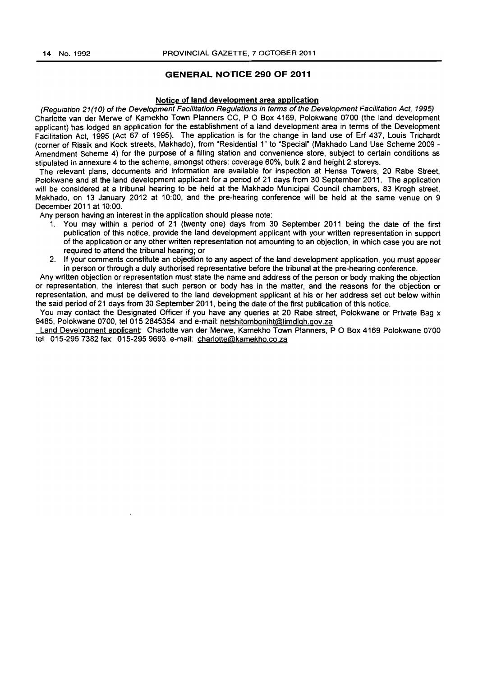# GENERAL NOTICE 290 OF 2011

# Notice of land development area application

(Regulation 21(10) of the Development Facilitation Regulations in terms of the Development Facilitation Act. 1995) Charlotte van der Merwe of Kamekho Town Planners CC, POBox 4169, Polokwane 0700 (the land development applicant) has lodged an application for the establishment of a land development area in terms of the Development Facilitation Act, 1995 (Act 67 of 1995). The application is for the change in land use of Erf 437, Louis Trichardt (corner of Rissik and Kock streets, Makhado), from "Residential 1" to "Special" (Makhado Land Use Scheme 2009 <sup>~</sup> Amendment Scheme 4) for the purpose of a filling station and convenience store, subject to certain conditions as stipulated in annexure 4 to the scheme, amongst others: coverage 60%, bulk 2 and height 2 storeys.

The relevant plans, documents and information are available for inspection at Hensa Towers, 20 Rabe Street. Polokwane and at the land development applicant for a period of 21 days from 30 September 2011. The application will be considered at a tribunal hearing to be held at the Makhado Municipal Council chambers. 83 Krogh street, Makhado, on 13 January 2012 at 10:00, and the pre~hearing conference will be held at the same venue on 9 December 2011 at 10:00.

Any person having an interest in the application should please note:

- 1. You may within a period of 21 (twenty one) days from 30 September 2011 being the date of the first publication of this notice, provide the land development applicant with your written representation in support of the application or any other written representation not amounting to an objection, in which case you are not required to attend the tribunal hearing; or
- 2. If your comments constitute an objection to any aspect of the land development application, you must appear in person or through a duly authorised representative before the tribunal at the pre-hearing conference.

Any written objection or representation must state the name and address of the person or body making the objection or representation, the interest that such person or body has in the matter, and the reasons for the objection or representation, and must be delivered to the land development applicant at his or her address set out below within the said period of 21 days from 30 September 2011, being the date of the first publication of this notice.

You may contact the Designated Officer if you have any queries at 20 Rabe street, Polokwane or Private Bag x 9485, Polokwane 0700, tel 015 2845354 and e-mail: netshitombonint@limdlqh.gov.za

Land Development applicant: Charlotte van der Merwe, Kamekho Town Planners, P O Box 4169 Polokwane 0700 tel: 015-2957382 fax: 015-2959693, e-mail: charlotte@kamekho.co.za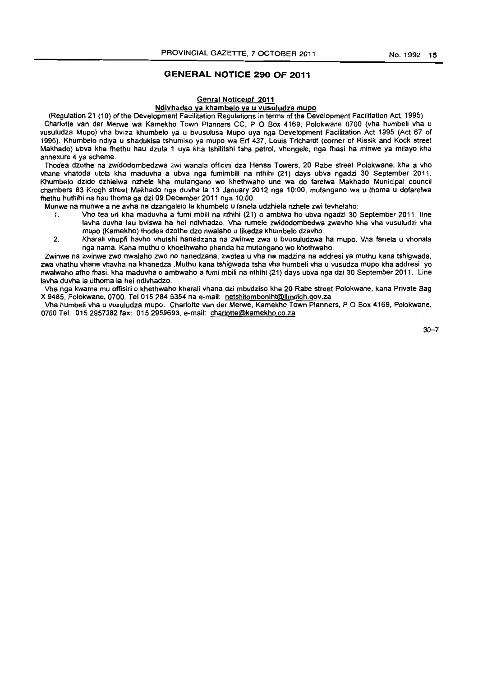# **GENERAL NOTICE 290 OF 2011**

#### **Genral Noticetof 2011**

# Ndivhadso va khambelo va u vusuludza mupo

(Regulation 21 (10) of the Development Facilitation Regulations in terms of the Development Facilitation Act, 1995) Charlotte van der Merwe wa Kamekho Town Planners CC, P O Box 4169, Polokwane 0700 (vha humbeli vha u vusuludza Mupo) vha bviza khumbelo ya u bvusulusa Mupo uya nga Development Facilitation Act 1995 (Act 67 of 1995). Khumbelo ndiya u shadukisa tshumiso ya mupo wa En 437, Louis Trichardt (corner of Rissik and Kock street Makhado) ubva kha fhethu hau dzula 1 uya kha tshititshi tsha petrol, vhengele, nga fhasi ha minwe ya milayo kha annexure 4 ya scheme.

Thodea dzothe na zwidodombedzwa zwi wanala officin; dza Hensa Towers, 20 Rabe street Polokwane, kha a vho vhane vhatoda utola kha maduvha. a ubva nga fumimbili na nthihi (21) days ubva ngadzi 30 September 2011. Khumbelo dzido dzhielwa nzhele kha mutangano wo khethwaho une wa do farelwa Makhado Municipal council chambers 83 Krogh street Makhado nga duvha la 13 January 2012 nga 10:00, mutangano wa u thoma u dofarelwa fhethu huthihi na hau thoma ga dzi 09 December 2011 nga 10:00.

Munwe na munwe a ne avha na dzangalelo la khumbelo u faneta udzhiela nzhele zwi tevhelaho:

- 1. Vho tea uri kha maduvha a fumi mbili na nthihi (21) 0 ambiwa ho ubva ngadzi 30 September 2011. line lavha duvha lau bviswa ha hei ndivhadzo. Vha rumele zwidodombedwa zwavho kha vha vusuludzi vha mupo (Kamekho) thodea dzothe dzo nwalaho u tikedza khumbelo dzavho.
- 2. Kharali vhupfi havho vhutshi hanedzana na zwinwe zwa u bvusuludzwa ha mupo. Vha fanela u vhonala nga nama. Kana muthu 0 khoethwaho phanda ha mutangano wo khethwaho.

Zwinwe na zwinwe zwo nwalaho zwo no hanedzana, zwotea u vha na madzina na addresi ya muthu kana tshigwada, zwa vhathu vhane vhavha na khanedza .Muthu kana tshigwada tsha vha humbeli vha u vusudza mupo kha addresi yo nwalwaho afho fhasi, kha maduvha 0 ambwaho a fumi mbili na nthihi (21) days ubva nga dzi 30 September 2011. Line lavha duvha la uthoma la hei ndivhadzo.

Vha nga kwama mu offisiri 0 khethwaho kharali vhana dzi mbudziso kha 20 Rabe street Polokwane. kana Private Bag X 9485, Polokwane. 0700. Tel 015284 5354 na e-mail: netshitomboniht@limdlgh.gov.za

Vha humbeli vha u vusuludza mupo: Charlotte van der Merwe, Kamekho Town Planners, P O Box 4169, Polokwane, 0700 Tel: 0152957382 fax: 0152959693. e-mail: charlotte@kamekho.co.za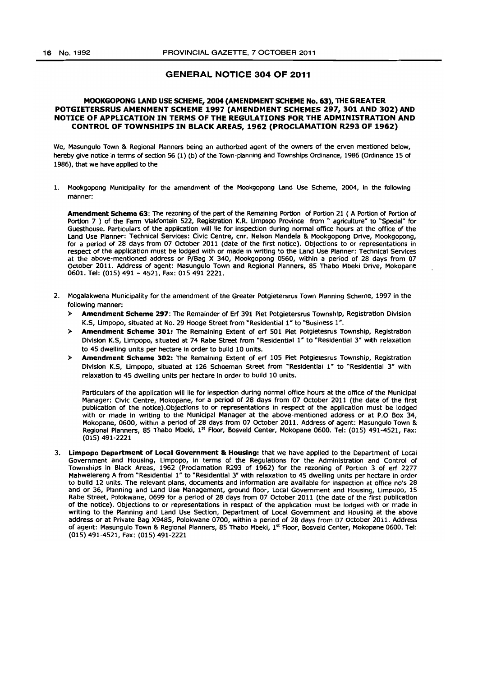# GENERAL NOTICE 304 OF 2011

# MOOKGOPONG LAND USE SCHEME, 2004 (AMENDMENT SCHEME No. 63), THE GREATER POTGIETERSRUS AMENMENT SCHEME 1997 (AMENDMENT SCHEMES 297, 301 AND 302) AND NOTICE OF APPLICATION IN TERMS OF THE REGULATIONS FOR THE ADMINISTRATION AND CONTROL OF TOWNSHIPS IN BLACK AREAS, 1962 (PROCLAMATION R293 OF 1962)

We, Masungulo Town &. Regional Planners being an authorized agent of the owners of the erven mentioned below, hereby give notice in terms of section 56 (1) (b) of the Town-planning and Townships Ordinance, 1986 (Ordinance 15 of 1986), that we have applied to the

1. Mookgopong Municipality for the amendment of the Mookgopong Land Use Scheme, 2004, in the following manner:

Amendment Scheme 63: The rezoning of the part of the Remaining Portion of Portion 21 ( A Portion of Portion of Portion 7 ) of the Farm Vlakfontein 522, Registration K.R. Umpopo Province from ~ agriculture" to "Special" for Guesthouse. Particulars of the application will lie for inspection during normal office hours at the office of the Land Use Planner: Technical Services: Civic Centre, cnr. Nelson Mandela & Mookgopong Drive, Mookgopong, for a period of 28 days from 07 October 2011 (date of the first notice). Objections to or representations in respect of the application must be lodged with or made in writing to the Land Use Planner: Technical Services at the above-mentioned address or P/Bag X 340, Mookgopong 0560, within a period of 28 days from 07 October 2011. Address of agent: Masungulo Town and Regional Planners, 85 Thabo Mbeki Drive, Mokopane 0601. Tel: (015) 491 - 4521, Fax: 015 491 2221.

- 2. Mogalakwena Municipality for the amendment of the Greater Potgietersrus Town Planning Scheme, 1997 in the following manner:
	- Amendment Scheme 297: The Remainder of Erf 391 Piet Potgietersrus Township, Registration Division K.S, Limpopo, situated at No. 29 Hooge Street from "Residential 1 *n* to "Business *1".*
	- > Amendment Scheme 301: The Remaining Extent of erf 501 Piet Potgietesrus Township, Registration Division K.S, Limpopo, Situated at 74 Rabe Street from "Residential 1" to "Residential 3" with relaxation to 45 dwelling units per hectare in order to build 10 units.
	- > Amendment Scheme 302: The Remaining Extent of erf 105 Piet Potgietesrus Township, Registration Division K.S, Limpopo, situated at 126 Schoeman Street from "Residential 1" to "Residential 3" with relaxation to 45 dwelling units per hectare in order to build 10 units.

Particulars of the application will lie for inspection during normal office hours at the office of the Municipal Manager: Civic Centre, Mokopane, for a period of 28 days from 07 October 2011 (the date of the first publication of the notice). Objections to or representations in respect of the application must be lodged with or made in writing to the Municipal Manager at the above-mentioned address or at P.O Box 34, Mokopane, 0600, within a period of 28 days from 07 October 2011. Address of agent: Masungulo Town &. Regional Planners, 85 Thabo Mbeki, 1st Floor, Bosveld Center, Mokopane 0600. Tel: (015) 491-4521, Fax: (015) 491-2221

3. Limpopo Department of Local Government & Housing: that we have applied to the Department of Local Government and Housing, Limpopo, in terms of the Regulations for the Administration and Control of Townships in Black Areas, 1962 (Proclamation R293 of 1962) for the rezoning of Portion 3 of erf 2277 Mahwelereng A from "Residential 1" to "Residential 3" with relaxation to 45 dwelling units per hectare in order to build 12 units. The relevant plans, documents and information are available for Inspection at office no's 28 and or 36, Planning and Land Use Management, ground floor, Local Government and Housing, Limpopo, 15 Rabe Street, Polokwane, 0699 for a period of 28 days from 07 October 2011 (the date of the first publication of the notice). Objections to or representations in respect of the application must be lodged with or made in writing to the Planning and Land Use Section, Department of local Government and Housing at the above address or at Private Bag X9485, Polokwane 0700, within a period of 28 days from 07 October 2011. Address of agent: Masungulo Town & Regional Planners, 85 Thabo Mbeki, 1<sup>st</sup> Floor, Bosveld Center, Mokopane 0600. Tel: (015) 491-4521, Fax: (015) 491-2221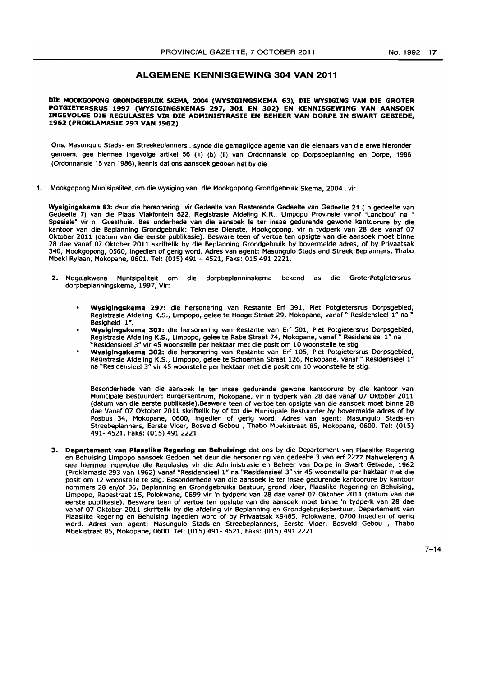# ALGEMENE KENNISGEWING 304 VAN 2011

#### DIE MOOKGOPONG GRONDGEBRUIK SKEMA, 2004 (WYSIGINGSKEMA 63), DIE WYSIGING VAN DIE GROTER POTGIETERSRUS 1997 (WYSIGINGSKEMAS 297, 301 EN 302) EN KENNISGEWING VAN AANSOEK INGEVOLGE DIE REGULASIES VIR DIE ADMINISTRASIE EN BEHEER VAN DORPE IN SWART GEBIEDE, 1962 (PROKLAMASIE 293 VAN 1962)

Ons, Masungulo Stads- en Streekeplanners, synde die gemagtigde agente van die eienaars van die erwe hieronder genoem, gee hiermee ingevolge artikel 56 (1) (b) (ii) van Ordonnansie op Dorpsbeplanning en Dorpe, 1986 (Ordonnansie 15 van 1986), kennis dat ans aansaek gedoen het by die

1. Mookgopong Munisipaliteit, om die wysiging van die Mookgopong Grondgebruik Skema, 2004 • vir

Wysigingskema 63: deur die hersonering vir Gedeelte van Resterende Gedeelte van Gedeelte 21 ( n gedeelte van Gedeelte 7) van die Plaas Vlakfontein 522, Registrasie Afdeling K.R., Limpopo Provinsie vanaf "Landbou" na Spesiale" vir n Guesthuis. Bes onderhede van die aansoek Ie ter Insae gedurende gewone kantoorure by die kantoor van die Beplannlng Grondgebruik: Tekniese Dienste, Mookgopong, vir n tydperk van 28 dae vanaf 07 Oktober 2011 (datum van die eerste publlkasle). Besware teen of vertoe ten opsigte van die aansoek moet binne 28 dae vanaf 07 Oktober 2011 skriftellk by die Beplannlng Grondgebrulk by bovenmelde adres, of by Prlvaatsak 340, Mookgopong, 0560, ingedlen of gerlg word. Adres van agent: Masungulo Stads and Streek Beplanners, Thabo Mbekl Rylaan, Mokopane, 0601. Tel: (015) 491 - 4521, Faks: 015491 2221.

- 2. Mogalakwena Munisipaliteit om die dorpbeplanninskema bekend as die GroterPotgietersrusdorpbeplanningskema, 1997, Vir:
	- Wyslglngskema 297: die hersonering van Restante Erf 391, Piet Potgietersrus Dorpsgebled, Registrasie Afdeling K.S., Limpopo, gelee te Hooge Straat 29, Mokopane, vanaf " Residensieel 1" na Besigheid 1".
	- Wysigingskema 301: die hersonering van Restante van Erf 501, Piet Potgietersrus Dorpsgebied, Registrasie Afdeling K.S., Limpopo, gelee te Rabe Straat 74, Mokopane, vanaf " Residensieel 1" na "Resldensieel 3" vir 45 woonstelle per hektaar met die posit om 10 woonstelle te stig
	- Wysigingskema 302: die hersonering van Restante van Erf 105, Piet Potgietersrus Dorpsgebied, Registrasie Afdellng K.S., Limpopo, gelee te Schoeman Straat 126, Mokopane, vanaf" Resldensieel 1" na "Resldensleel 3" vir 4S woonstelle per hektaar met die posit om 10 woonstetle te stlg.

Besonderhede van die aansoek Ie ter insae gedurende gewone kantoorure by die kantoor van Munlclpale Bestuurder: Burgersentrum, Mokopane, vir n tydperk van 28 dae vanaf 07 Oktober 2011 (datum van die eerste publikasie).Besware teen of vertoe ten opslgte van die aansoek moet binne 28 dae Vanaf 07 Oktober 2011 skriftelik by of tot die Munisipale Bestuurder by bovermelde adres of by Posbus 34, Mokopane, 0600, ingedlen of gerig word. Adres van agent: Masungulo Stads-en Streebeplanners, Eerste Vloer, Bosveld Gebou , Thabo Mbekistraat 85, Mokopane, 0600. Tel: (015) 491- 4521, Faks: (015) 4912221

3. Departement van Plaaslike Regering en Behuising: dat ons by die Departement van Plaaslike Regering en Behuising Limpopo aansoek Gedoen het deur die hersonering van gedeelte 3 van erf 2277 Mahwelereng A gee hlermee ingevolge die Regulasles vir die Admlnlstrasle en Beheer van Dorpe in Swart Gebiede, 1962 (Proklamasie 293 van 1962) vanaf "Residensleel 1" na "Resldensieel *3"* vir 45 woonstelle per hektaar met die posit om 12 woonstelle te stlg. Besonderhede van die aansoek Ie ter insae gedurende kantoorure by kantoor nommers 28 en/of 36, Beplannlng en Grondgebrulks Bestuur, grond vloer, Plaaslike Regering en Behulsing, Limpopo, Rabestraat 15, Polokwane, 0699 vir 'n tydperk van 28 dae vanaf 07 Oktober 2011 (datum van die eerste publikasie). Besware teen of vertoe ten opsigte van die aansoek moet blnne 'n tydperk van 28 dae vanaf 07 Oktober 2011 skriftelik by die afdeling vir Beplanning en Grondgebruiksbestuur, Departement van Plaaslike Regering en Behuising ingedien word of by Privaatsak X9485, Polokwane, 0700 ingedien of gerlg word. Adres van agent: Masungulo Stads-en Streebeplanners, Eerste Vloer, Bosveld Gebou , Thabo Mbekistraat 85, Mokopane, 0600. Tel: (015) 491- 4521, Faks: (015) 491 2221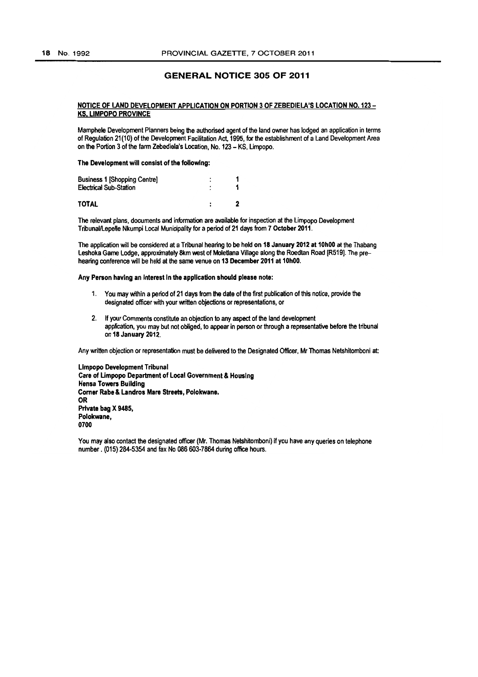# GENERAL NOTICE 305 OF 2011

# NOTICE OF LAND DEVELOPMENT APPLICATION ON PORTION 3 OF ZEBEDIELA'S LOCATION NO. 123- KS. LIMPOPO PROVINCE

Mamphele Development Planners being the authorised agent of the land owner has lodged an application in terms of Regulation 21 (10) of the Development Facilitation Act, 1995, for the establishment of a land Development Area on the Portion 3 of the farm Zebadiela's Location, No. 123 - KS, limpopo.

The Development will consist of the following:

| <b>Business 1 [Shopping Centre]</b><br><b>Electrical Sub-Station</b> | ٠<br>۰ |  |
|----------------------------------------------------------------------|--------|--|
| TOTAL                                                                |        |  |

The relevant plans, documents and information are available for inspection at the limpopo Development Tribunal/Lepelle Nkumpi Local Municipality for a period of 21 days from 7 October 2011.

The application will be considered at a Tribunal hearing to be held on 18 January 2012 at 10h00 at the Thabang Leshoka Game Lodge, approximately 8km west of Moletlana Village along the Roedtan Road [R519]. The prehearing conference will be held at the same venue on 13 December 2011 at 10hOO.

Any Person having an interest in the application should please note:

- 1. You may within a period of 21 days from the date of the first publication of this notice, provide the designated officer with your written objections or representations, or
- 2. If your Comments constitute an objection to any aspect of the land development appfication, you may but not obliged, to appear in person or through a representative before the tribunal on 18 January 2012.

Any written objection or representation must be delivered to the DeSignated Officer, Mr Thomas Netshitomboni at:

limpopo Development Tribunal Care of Umpopo Department of Local Government & Housing Hensa Towers Building Comer Rabe & Landros Mare Streets, Polokwane. OR Private bag X 9485, Polokwane, 0700

You may also contact the designated officer (Mr. Thomas Netshitomboni) if you have any queries on telephone number. (015) 284-5354 and fax No 086 603·7864 during office hours.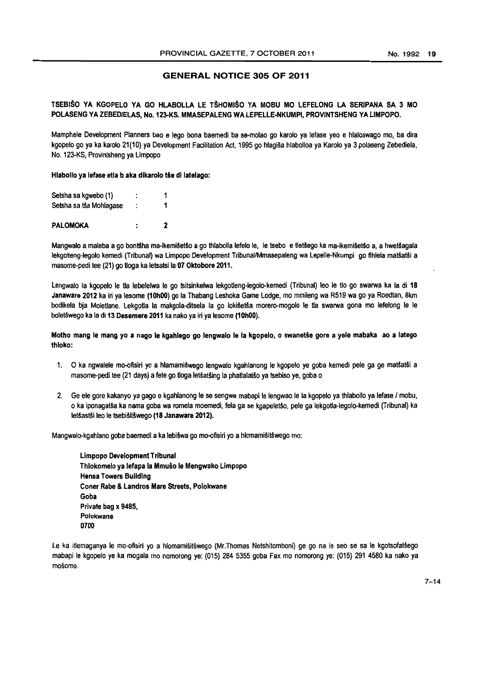# GENERAL NOTICE 305 OF 2011

# TSEBISO YA KGOPELO YA GO HLABOLLA LE TSHOMISO YA MOBU MO LEFELONG LA SERIPANA SA 3 MO POLASENG YA ZEBEDIELAS, No. 123-KS. MMASEPALENG WA LEPELLE-NKUMPI, PROVINTSHENG YA LIMPOPO.

Mamphele Development Planners bao e lego bona baemedi ba se-molao go karolo ya lefase yeo e hlaloswago mo, ba dira kgopelo go *ya* ka karolo 21(10) ya Development Facilitation Act, 1995 go hlagisa hlabofloa ya Karolo ya 3 polaseng Zebediela, No. 123-KS, Provintsheng ya Limpopo

Hlabollo ya lefase etla b aka dikarolo tše di latelago:

| Setsha sa kgwebo (1)    | ٠<br>٠ |   |
|-------------------------|--------|---|
| Setsha sa tša Mohlagase |        |   |
| <b>PALOMOKA</b>         |        | 2 |

Mangwalo a maleba a go bontšha ma-ikemišetšo a go thlabolla lefelo le, le tsebo e tletšego ka ma-ikemišetšo a, a hwetšagala lekgotleng-legolo kemedi (Tribunal) wa Limpopo Development Tribunal/Mmasepaleng wa Lepelle-Nkumpi go fihlela matšatši a masome-pedi tee (21) go Uoga ka letsatsi la 07 Oktobore 2011.

Lengwalo la kgopelo le tla lebelelwa le go tsitsinkelwa lekgotleng-legolo-kemedi (Tribunal) leo le tlo go swarwa ka la di 18 Janaware 2012 ka in ya lesome (10h00) go la Thabang Leshoka Game Lodge, mo mmileng wa R519 wa go ya Roedtan, 8km bodikela bja Moletlane. Lekgotla la makgola-ditsela la go lokišetša morero-mogolo le tla swarwa gona mo lefelong le le boletswego ka la di 13 Desemere 2011 ka nako ya iri ya lesome (10hOO).

Motho mang le mang yo a nago le kgahlego go lengwalo le la kgopelo, o swanetše gore a yele mabaka ao a latego thloko:

- 1. O ka ngwalele mo-ofisiri yo a hlamamišwego lengwalo kgahlanong le kgopelo ye goba kemedi pele ga ge matšatši a masome-pedi tee (21 days) a fete go tioga letšatšing la phatlalatšo ya tsebiso ye, goba o
- 2. Ge ele gore kakanyo ya gago e kgahlanong le se sengwe mabapi le lengwao le la kgopelo ya thlabollo ya lefase / mobu, o ka iponagatsa ka nama goba wa romela moemedi. fela ga se kgapeletso. pele 9a lekgotla-Iegolo-kemedi (Tribunal) ka letšastši leo le tsebišitšwego (18 Janaware 2012).

Mangwalo-kgahlano goba baemedi a ka lebišwa go mo-ofisiri yo a hlomamišitšwego mo:

Limpopo Development Tribunal Thlokomelo ya lefapa la Mmuso Ie Mengwako Limpopo Hensa Towers Building Coner Rabe & Landros Mare Streets, Polokwane Goba Private bag x 9485. Polokwane 0700

Le ka itlemaganya le mo-ofisiri yo a hlomamišitšwego (Mr.Thomas Netshitomboni) ge go na le seo se sa le kgotsofatšego mabapi Ie kgopelo ye ka mogala mo nomorong ye: (015) 284 5355 goba Fax mo nomorong ye: (015) 291 4580 ka nako ya mošomo.